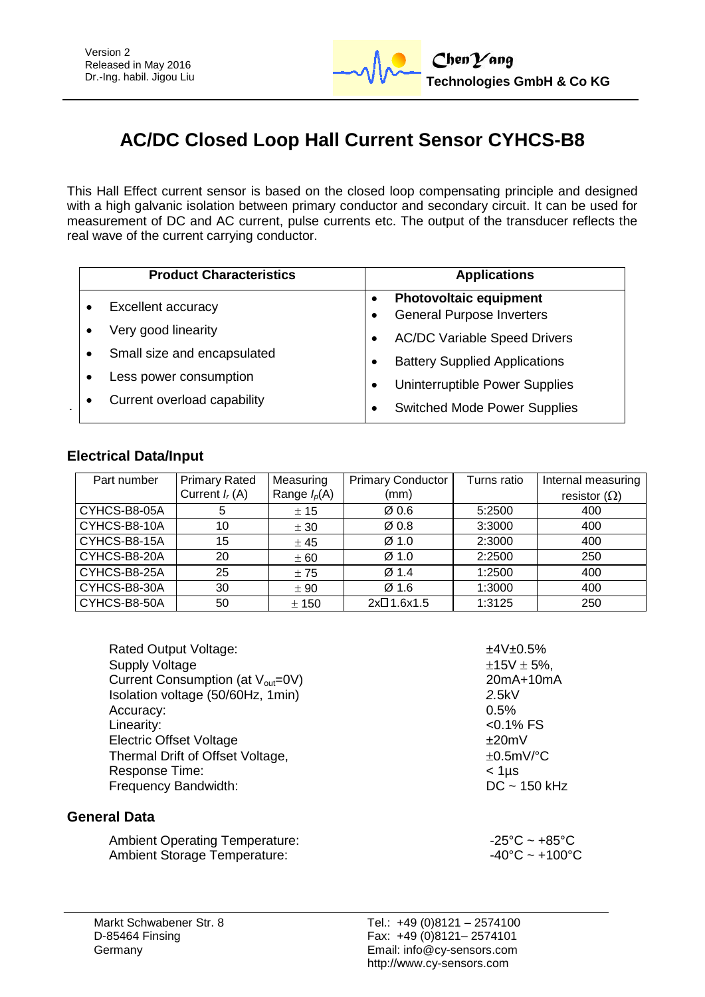# **AC/DC Closed Loop Hall Current Sensor CYHCS-B8**

This Hall Effect current sensor is based on the closed loop compensating principle and designed with a high galvanic isolation between primary conductor and secondary circuit. It can be used for measurement of DC and AC current, pulse currents etc. The output of the transducer reflects the real wave of the current carrying conductor.

| <b>Product Characteristics</b> | <b>Applications</b>                                               |  |
|--------------------------------|-------------------------------------------------------------------|--|
| <b>Excellent accuracy</b>      | <b>Photovoltaic equipment</b><br><b>General Purpose Inverters</b> |  |
| Very good linearity            | <b>AC/DC Variable Speed Drivers</b>                               |  |
| Small size and encapsulated    | <b>Battery Supplied Applications</b>                              |  |
| Less power consumption         | Uninterruptible Power Supplies                                    |  |
| Current overload capability    | <b>Switched Mode Power Supplies</b>                               |  |

#### **Electrical Data/Input**

| Part number  | <b>Primary Rated</b> | Measuring      | <b>Primary Conductor</b> | Turns ratio | Internal measuring  |
|--------------|----------------------|----------------|--------------------------|-------------|---------------------|
|              | Current $I_r(A)$     | Range $I_p(A)$ | (mm)                     |             | resistor $(\Omega)$ |
| CYHCS-B8-05A | b                    | ± 15           | $\varnothing$ 0.6        | 5:2500      | 400                 |
| CYHCS-B8-10A | 10                   | ± 30           | Ø0.8                     | 3:3000      | 400                 |
| CYHCS-B8-15A | 15                   | ± 45           | Ø <sub>1.0</sub>         | 2:3000      | 400                 |
| CYHCS-B8-20A | 20                   | ± 60           | Ø <sub>1.0</sub>         | 2:2500      | 250                 |
| CYHCS-B8-25A | 25                   | ±75            | Ø1.4                     | 1:2500      | 400                 |
| CYHCS-B8-30A | 30                   | ± 90           | Ø1.6                     | 1:3000      | 400                 |
| CYHCS-B8-50A | 50                   | ± 150          | 2x <sup>□</sup> 1.6x1.5  | 1:3125      | 250                 |

Rated Output Voltage:  $\pm$ 4V $\pm$ 0.5% Supply Voltage  $\pm 15V \pm 5\%$ , Current Consumption (at  $V_{\text{out}}=0$ V) 20mA+10mA Isolation voltage (50/60Hz, 1min) *2.*5kV Accuracy: 0.5% Linearity:  $\sim$  0.1% FS Electric Offset Voltage  $\pm 20$ mV Thermal Drift of Offset Voltage,  $\pm 0.5$ mV/°C Response Time:<br>
Frequency Bandwidth:<br>
Frequency Bandwidth:<br>
C ~ 150 kHz Frequency Bandwidth:

#### **General Data**

Ambient Operating Temperature:  $-25^{\circ}\text{C} \sim +85^{\circ}\text{C}$ Ambient Storage Temperature:  $-40^{\circ}$ C ~ +100°C